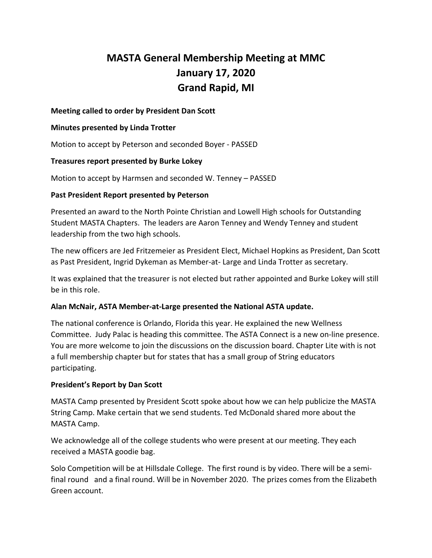# **MASTA General Membership Meeting at MMC January 17, 2020 Grand Rapid, MI**

# **Meeting called to order by President Dan Scott**

#### **Minutes presented by Linda Trotter**

Motion to accept by Peterson and seconded Boyer - PASSED

# **Treasures report presented by Burke Lokey**

Motion to accept by Harmsen and seconded W. Tenney – PASSED

# **Past President Report presented by Peterson**

Presented an award to the North Pointe Christian and Lowell High schools for Outstanding Student MASTA Chapters. The leaders are Aaron Tenney and Wendy Tenney and student leadership from the two high schools.

The new officers are Jed Fritzemeier as President Elect, Michael Hopkins as President, Dan Scott as Past President, Ingrid Dykeman as Member-at- Large and Linda Trotter as secretary.

It was explained that the treasurer is not elected but rather appointed and Burke Lokey will still be in this role.

# **Alan McNair, ASTA Member-at-Large presented the National ASTA update.**

The national conference is Orlando, Florida this year. He explained the new Wellness Committee. Judy Palac is heading this committee. The ASTA Connect is a new on-line presence. You are more welcome to join the discussions on the discussion board. Chapter Lite with is not a full membership chapter but for states that has a small group of String educators participating.

#### **President's Report by Dan Scott**

MASTA Camp presented by President Scott spoke about how we can help publicize the MASTA String Camp. Make certain that we send students. Ted McDonald shared more about the MASTA Camp.

We acknowledge all of the college students who were present at our meeting. They each received a MASTA goodie bag.

Solo Competition will be at Hillsdale College. The first round is by video. There will be a semifinal round and a final round. Will be in November 2020. The prizes comes from the Elizabeth Green account.